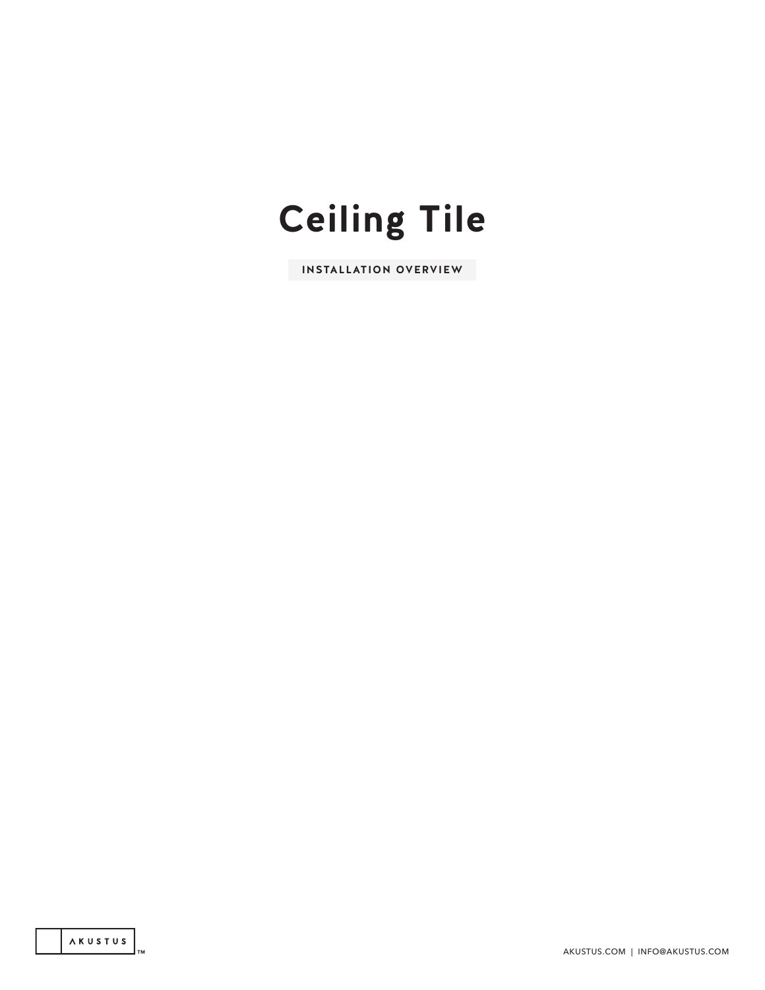# **Ceiling Tile**

**INSTALLATION OVERVIEW**

**TM**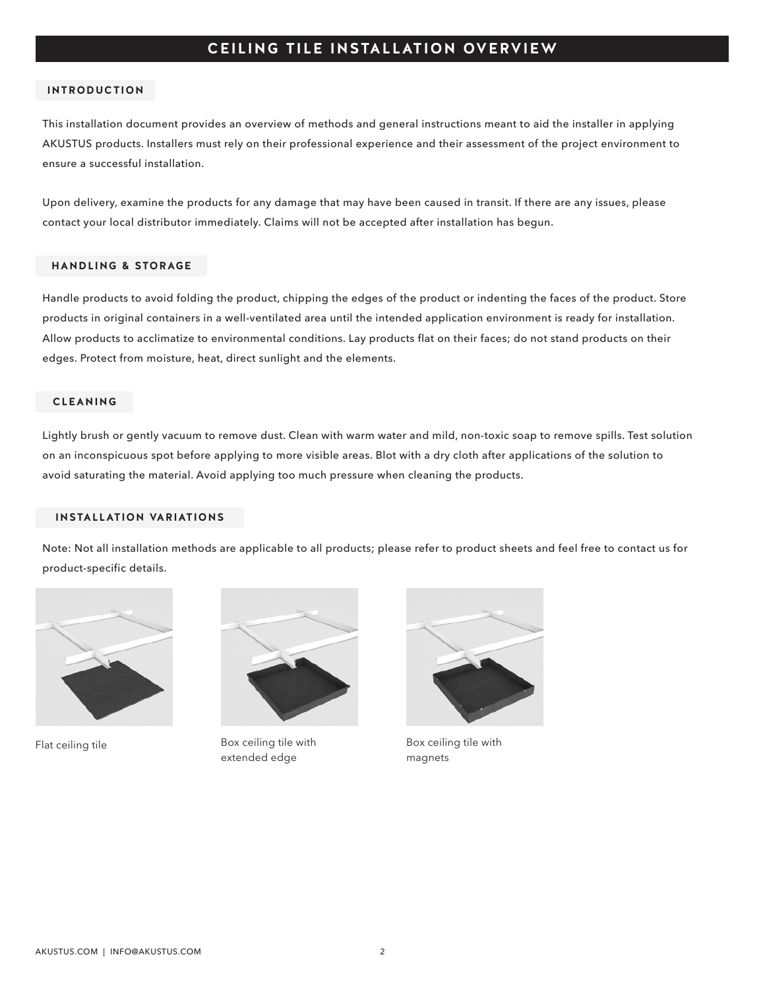### **CEILING TILE INSTALLATION OVERVIEW**

#### **INTRODUCTION**

This installation document provides an overview of methods and general instructions meant to aid the installer in applying AKUSTUS products. Installers must rely on their professional experience and their assessment of the project environment to ensure a successful installation.

Upon delivery, examine the products for any damage that may have been caused in transit. If there are any issues, please contact your local distributor immediately. Claims will not be accepted after installation has begun.

#### **HANDLING & STORAGE**

Handle products to avoid folding the product, chipping the edges of the product or indenting the faces of the product. Store products in original containers in a well-ventilated area until the intended application environment is ready for installation. Allow products to acclimatize to environmental conditions. Lay products flat on their faces; do not stand products on their edges. Protect from moisture, heat, direct sunlight and the elements.

#### **CLEANING**

Lightly brush or gently vacuum to remove dust. Clean with warm water and mild, non-toxic soap to remove spills. Test solution on an inconspicuous spot before applying to more visible areas. Blot with a dry cloth after applications of the solution to avoid saturating the material. Avoid applying too much pressure when cleaning the products.

#### **INSTALLATION VARIATIONS**

Note: Not all installation methods are applicable to all products; please refer to product sheets and feel free to contact us for product-specific details.





Flat ceiling tile **Box** ceiling tile with extended edge



Box ceiling tile with magnets